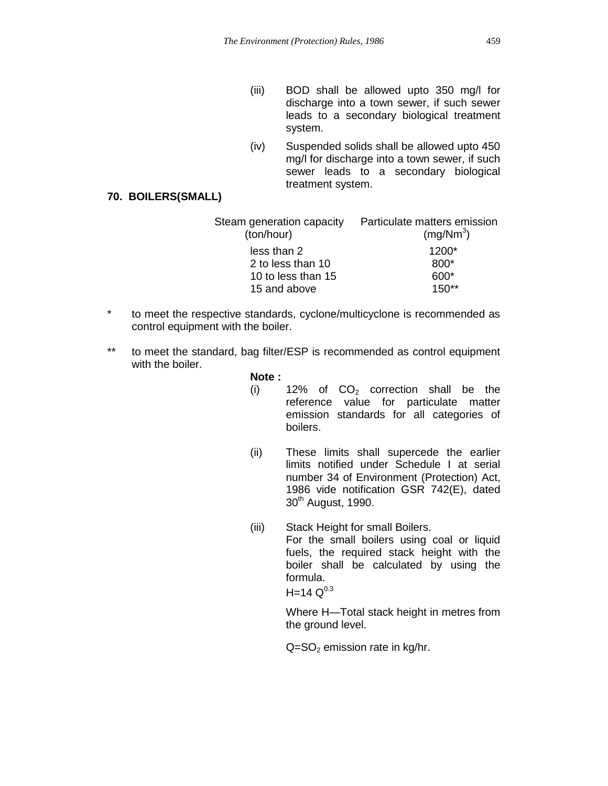- (iii) BOD shall be allowed upto 350 mg/l for discharge into a town sewer, if such sewer leads to a secondary biological treatment system.
- (iv) Suspended solids shall be allowed upto 450 mg/l for discharge into a town sewer, if such sewer leads to a secondary biological treatment system.

## **70. BOILERS(SMALL)**

| Steam generation capacity  Particulate matters emission<br>(mg/Nm <sup>3</sup> ) |
|----------------------------------------------------------------------------------|
| $1200*$                                                                          |
| 800*                                                                             |
| 600*                                                                             |
| $150**$                                                                          |
|                                                                                  |

- \* to meet the respective standards, cyclone/multicyclone is recommended as control equipment with the boiler.
- \*\* to meet the standard, bag filter/ESP is recommended as control equipment with the boiler.

## **Note :**

- (i)  $12\%$  of  $CO<sub>2</sub>$  correction shall be the reference value for particulate matter emission standards for all categories of boilers.
- (ii) These limits shall supercede the earlier limits notified under Schedule I at serial number 34 of Environment (Protection) Act, 1986 vide notification GSR 742(E), dated 30<sup>th</sup> August, 1990.
- (iii) Stack Height for small Boilers. For the small boilers using coal or liquid fuels, the required stack height with the boiler shall be calculated by using the formula.  $H=14$   $Q^{0.3}$

Where H—Total stack height in metres from the ground level.

 $Q = SO<sub>2</sub>$  emission rate in kg/hr.